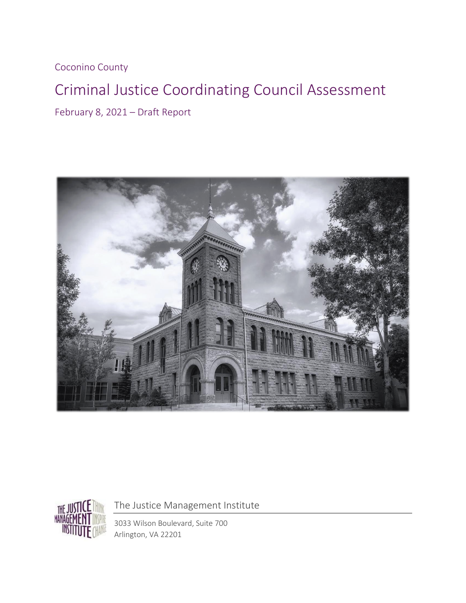Coconino County

# Criminal Justice Coordinating Council Assessment

February 8, 2021 – Draft Report





The Justice Management Institute

3033 Wilson Boulevard, Suite 700 Arlington, VA 22201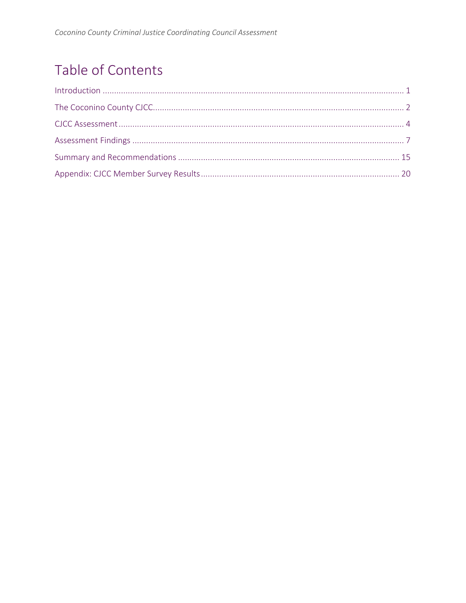# Table of Contents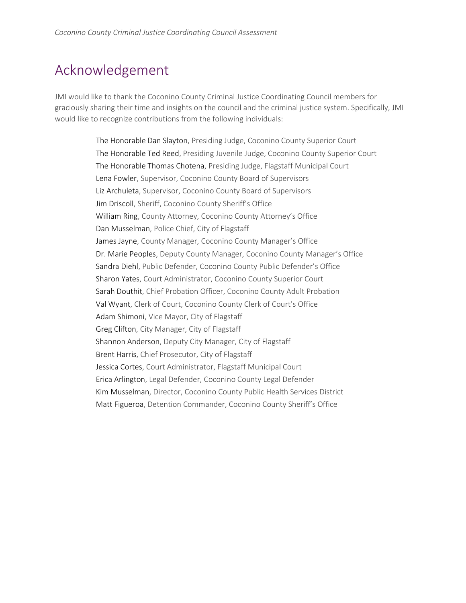## Acknowledgement

JMI would like to thank the Coconino County Criminal Justice Coordinating Council members for graciously sharing their time and insights on the council and the criminal justice system. Specifically, JMI would like to recognize contributions from the following individuals:

> The Honorable Dan Slayton, Presiding Judge, Coconino County Superior Court The Honorable Ted Reed, Presiding Juvenile Judge, Coconino County Superior Court The Honorable Thomas Chotena, Presiding Judge, Flagstaff Municipal Court Lena Fowler, Supervisor, Coconino County Board of Supervisors Liz Archuleta, Supervisor, Coconino County Board of Supervisors Jim Driscoll, Sheriff, Coconino County Sheriff's Office William Ring, County Attorney, Coconino County Attorney's Office Dan Musselman, Police Chief, City of Flagstaff James Jayne, County Manager, Coconino County Manager's Office Dr. Marie Peoples, Deputy County Manager, Coconino County Manager's Office Sandra Diehl, Public Defender, Coconino County Public Defender's Office Sharon Yates, Court Administrator, Coconino County Superior Court Sarah Douthit, Chief Probation Officer, Coconino County Adult Probation Val Wyant, Clerk of Court, Coconino County Clerk of Court's Office Adam Shimoni, Vice Mayor, City of Flagstaff Greg Clifton, City Manager, City of Flagstaff Shannon Anderson, Deputy City Manager, City of Flagstaff Brent Harris, Chief Prosecutor, City of Flagstaff Jessica Cortes, Court Administrator, Flagstaff Municipal Court Erica Arlington, Legal Defender, Coconino County Legal Defender Kim Musselman, Director, Coconino County Public Health Services District Matt Figueroa, Detention Commander, Coconino County Sheriff's Office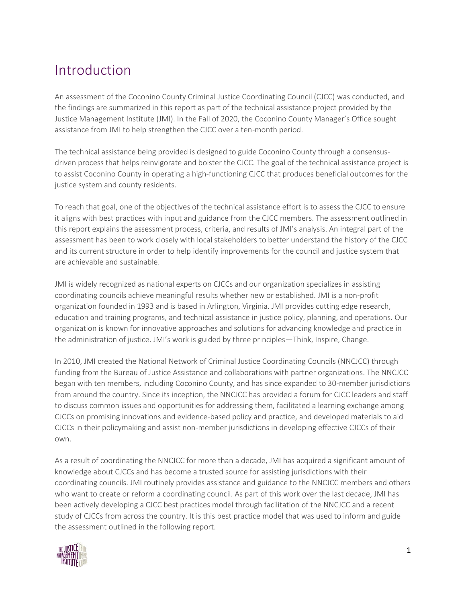## Introduction

An assessment of the Coconino County Criminal Justice Coordinating Council (CJCC) was conducted, and the findings are summarized in this report as part of the technical assistance project provided by the Justice Management Institute (JMI). In the Fall of 2020, the Coconino County Manager's Office sought assistance from JMI to help strengthen the CJCC over a ten-month period.

The technical assistance being provided is designed to guide Coconino County through a consensusdriven process that helps reinvigorate and bolster the CJCC. The goal of the technical assistance project is to assist Coconino County in operating a high-functioning CJCC that produces beneficial outcomes for the justice system and county residents.

To reach that goal, one of the objectives of the technical assistance effort is to assess the CJCC to ensure it aligns with best practices with input and guidance from the CJCC members. The assessment outlined in this report explains the assessment process, criteria, and results of JMI's analysis. An integral part of the assessment has been to work closely with local stakeholders to better understand the history of the CJCC and its current structure in order to help identify improvements for the council and justice system that are achievable and sustainable.

JMI is widely recognized as national experts on CJCCs and our organization specializes in assisting coordinating councils achieve meaningful results whether new or established. JMI is a non-profit organization founded in 1993 and is based in Arlington, Virginia. JMI provides cutting edge research, education and training programs, and technical assistance in justice policy, planning, and operations. Our organization is known for innovative approaches and solutions for advancing knowledge and practice in the administration of justice. JMI's work is guided by three principles—Think, Inspire, Change.

In 2010, JMI created the National Network of Criminal Justice Coordinating Councils (NNCJCC) through funding from the Bureau of Justice Assistance and collaborations with partner organizations. The NNCJCC began with ten members, including Coconino County, and has since expanded to 30-member jurisdictions from around the country. Since its inception, the NNCJCC has provided a forum for CJCC leaders and staff to discuss common issues and opportunities for addressing them, facilitated a learning exchange among CJCCs on promising innovations and evidence-based policy and practice, and developed materials to aid CJCCs in their policymaking and assist non-member jurisdictions in developing effective CJCCs of their own.

As a result of coordinating the NNCJCC for more than a decade, JMI has acquired a significant amount of knowledge about CJCCs and has become a trusted source for assisting jurisdictions with their coordinating councils. JMI routinely provides assistance and guidance to the NNCJCC members and others who want to create or reform a coordinating council. As part of this work over the last decade, JMI has been actively developing a CJCC best practices model through facilitation of the NNCJCC and a recent study of CJCCs from across the country. It is this best practice model that was used to inform and guide the assessment outlined in the following report.

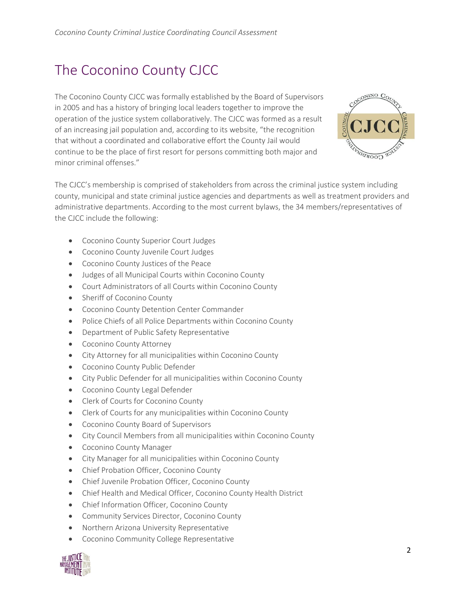# The Coconino County CJCC

The Coconino County CJCC was formally established by the Board of Supervisors in 2005 and has a history of bringing local leaders together to improve the operation of the justice system collaboratively. The CJCC was formed as a result of an increasing jail population and, according to its website, "the recognition that without a coordinated and collaborative effort the County Jail would continue to be the place of first resort for persons committing both major and minor criminal offenses."



The CJCC's membership is comprised of stakeholders from across the criminal justice system including county, municipal and state criminal justice agencies and departments as well as treatment providers and administrative departments. According to the most current bylaws, the 34 members/representatives of the CJCC include the following:

- Coconino County Superior Court Judges
- Coconino County Juvenile Court Judges
- Coconino County Justices of the Peace
- Judges of all Municipal Courts within Coconino County
- Court Administrators of all Courts within Coconino County
- Sheriff of Coconino County
- Coconino County Detention Center Commander
- Police Chiefs of all Police Departments within Coconino County
- Department of Public Safety Representative
- Coconino County Attorney
- City Attorney for all municipalities within Coconino County
- Coconino County Public Defender
- City Public Defender for all municipalities within Coconino County
- Coconino County Legal Defender
- Clerk of Courts for Coconino County
- Clerk of Courts for any municipalities within Coconino County
- Coconino County Board of Supervisors
- City Council Members from all municipalities within Coconino County
- Coconino County Manager
- City Manager for all municipalities within Coconino County
- Chief Probation Officer, Coconino County
- Chief Juvenile Probation Officer, Coconino County
- Chief Health and Medical Officer, Coconino County Health District
- Chief Information Officer, Coconino County
- Community Services Director, Coconino County
- Northern Arizona University Representative
- Coconino Community College Representative

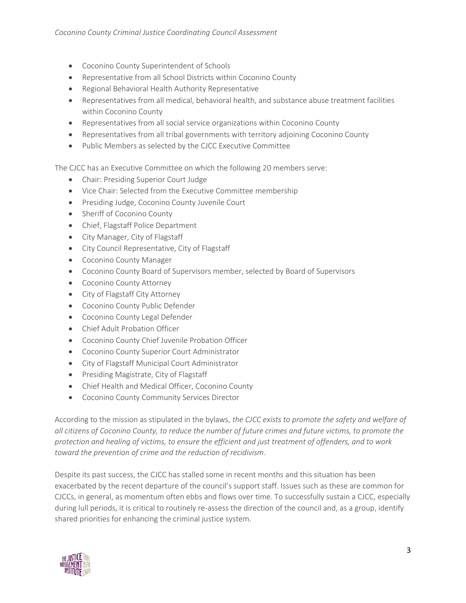- Coconino County Superintendent of Schools
- Representative from all School Districts within Coconino County
- Regional Behavioral Health Authority Representative
- Representatives from all medical, behavioral health, and substance abuse treatment facilities within Coconino County
- Representatives from all social service organizations within Coconino County
- Representatives from all tribal governments with territory adjoining Coconino County
- Public Members as selected by the CJCC Executive Committee

The CJCC has an Executive Committee on which the following 20 members serve:

- Chair: Presiding Superior Court Judge
- Vice Chair: Selected from the Executive Committee membership
- Presiding Judge, Coconino County Juvenile Court
- Sheriff of Coconino County
- Chief, Flagstaff Police Department
- City Manager, City of Flagstaff
- City Council Representative, City of Flagstaff
- Coconino County Manager
- Coconino County Board of Supervisors member, selected by Board of Supervisors
- Coconino County Attorney
- City of Flagstaff City Attorney
- Coconino County Public Defender
- Coconino County Legal Defender
- Chief Adult Probation Officer
- Coconino County Chief Juvenile Probation Officer
- Coconino County Superior Court Administrator
- City of Flagstaff Municipal Court Administrator
- Presiding Magistrate, City of Flagstaff
- Chief Health and Medical Officer, Coconino County
- Coconino County Community Services Director

According to the mission as stipulated in the bylaws, *the CJCC exists to promote the safety and welfare of all citizens of Coconino County, to reduce the number of future crimes and future victims, to promote the protection and healing of victims, to ensure the efficient and just treatment of offenders, and to work toward the prevention of crime and the reduction of recidivism*.

Despite its past success, the CJCC has stalled some in recent months and this situation has been exacerbated by the recent departure of the council's support staff. Issues such as these are common for CJCCs, in general, as momentum often ebbs and flows over time. To successfully sustain a CJCC, especially during lull periods, it is critical to routinely re-assess the direction of the council and, as a group, identify shared priorities for enhancing the criminal justice system.

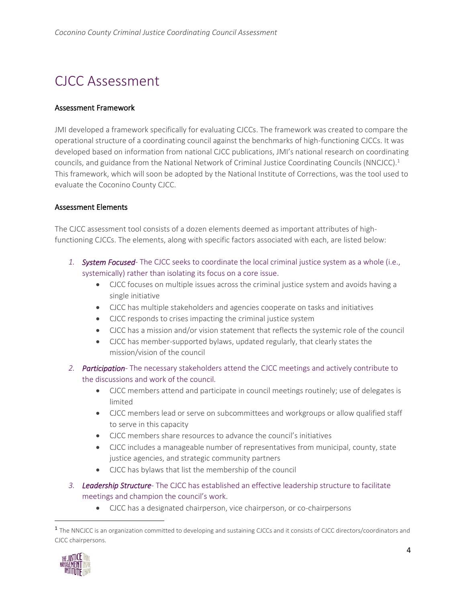# CJCC Assessment

#### Assessment Framework

JMI developed a framework specifically for evaluating CJCCs. The framework was created to compare the operational structure of a coordinating council against the benchmarks of high-functioning CJCCs. It was developed based on information from national CJCC publications, JMI's national research on coordinating councils, and guidance from the National Network of Criminal Justice Coordinating Councils (NNCJCC).<sup>1</sup> This framework, which will soon be adopted by the National Institute of Corrections, was the tool used to evaluate the Coconino County CJCC.

#### Assessment Elements

The CJCC assessment tool consists of a dozen elements deemed as important attributes of highfunctioning CJCCs. The elements, along with specific factors associated with each, are listed below:

- *1. System Focused-* The CJCC seeks to coordinate the local criminal justice system as a whole (i.e., systemically) rather than isolating its focus on a core issue.
	- CJCC focuses on multiple issues across the criminal justice system and avoids having a single initiative
	- CJCC has multiple stakeholders and agencies cooperate on tasks and initiatives
	- CJCC responds to crises impacting the criminal justice system
	- CJCC has a mission and/or vision statement that reflects the systemic role of the council
	- CJCC has member-supported bylaws, updated regularly, that clearly states the mission/vision of the council
- *2. Participation-* The necessary stakeholders attend the CJCC meetings and actively contribute to the discussions and work of the council.
	- CJCC members attend and participate in council meetings routinely; use of delegates is limited
	- CJCC members lead or serve on subcommittees and workgroups or allow qualified staff to serve in this capacity
	- CJCC members share resources to advance the council's initiatives
	- CJCC includes a manageable number of representatives from municipal, county, state justice agencies, and strategic community partners
	- CJCC has bylaws that list the membership of the council
- *3. Leadership Structure-* The CJCC has established an effective leadership structure to facilitate meetings and champion the council's work.
	- CJCC has a designated chairperson, vice chairperson, or co-chairpersons

<sup>&</sup>lt;sup>1</sup> The NNCJCC is an organization committed to developing and sustaining CJCCs and it consists of CJCC directors/coordinators and CJCC chairpersons.

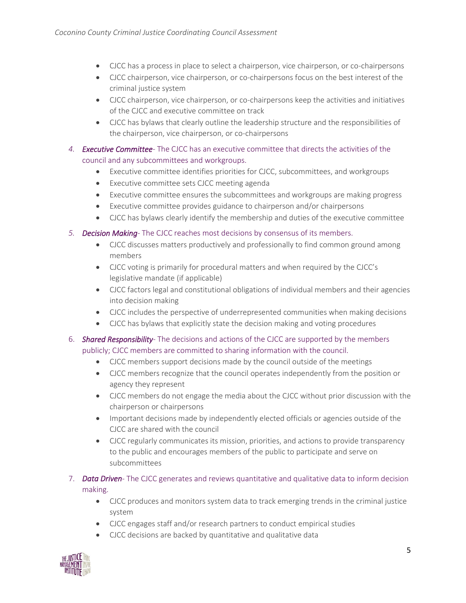- CJCC has a process in place to select a chairperson, vice chairperson, or co-chairpersons
- CJCC chairperson, vice chairperson, or co-chairpersons focus on the best interest of the criminal justice system
- CJCC chairperson, vice chairperson, or co-chairpersons keep the activities and initiatives of the CJCC and executive committee on track
- CJCC has bylaws that clearly outline the leadership structure and the responsibilities of the chairperson, vice chairperson, or co-chairpersons
- *4. Executive Committee-* The CJCC has an executive committee that directs the activities of the council and any subcommittees and workgroups.
	- Executive committee identifies priorities for CJCC, subcommittees, and workgroups
	- Executive committee sets CJCC meeting agenda
	- Executive committee ensures the subcommittees and workgroups are making progress
	- Executive committee provides guidance to chairperson and/or chairpersons
	- CJCC has bylaws clearly identify the membership and duties of the executive committee
- *5. Decision Making-* The CJCC reaches most decisions by consensus of its members.
	- CJCC discusses matters productively and professionally to find common ground among members
	- CJCC voting is primarily for procedural matters and when required by the CJCC's legislative mandate (if applicable)
	- CJCC factors legal and constitutional obligations of individual members and their agencies into decision making
	- CJCC includes the perspective of underrepresented communities when making decisions
	- CJCC has bylaws that explicitly state the decision making and voting procedures
- 6. *Shared Responsibility-* The decisions and actions of the CJCC are supported by the members publicly; CJCC members are committed to sharing information with the council.
	- CJCC members support decisions made by the council outside of the meetings
	- CJCC members recognize that the council operates independently from the position or agency they represent
	- CJCC members do not engage the media about the CJCC without prior discussion with the chairperson or chairpersons
	- Important decisions made by independently elected officials or agencies outside of the CJCC are shared with the council
	- CJCC regularly communicates its mission, priorities, and actions to provide transparency to the public and encourages members of the public to participate and serve on subcommittees
- 7. *Data Driven-* The CJCC generates and reviews quantitative and qualitative data to inform decision making.
	- CJCC produces and monitors system data to track emerging trends in the criminal justice system
	- CJCC engages staff and/or research partners to conduct empirical studies
	- CJCC decisions are backed by quantitative and qualitative data

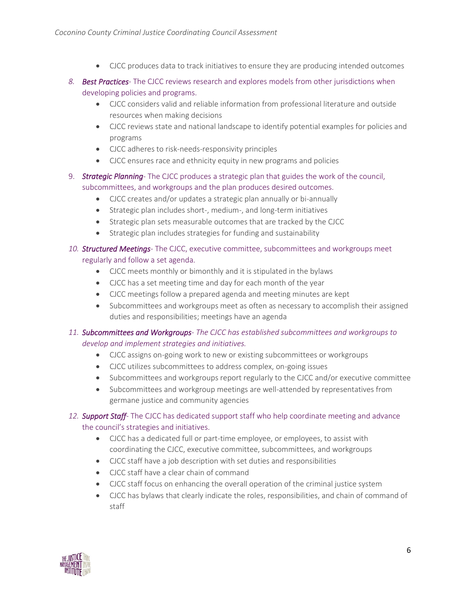- CJCC produces data to track initiatives to ensure they are producing intended outcomes
- *8. Best Practices-* The CJCC reviews research and explores models from other jurisdictions when developing policies and programs.
	- CJCC considers valid and reliable information from professional literature and outside resources when making decisions
	- CJCC reviews state and national landscape to identify potential examples for policies and programs
	- CJCC adheres to risk-needs-responsivity principles
	- CJCC ensures race and ethnicity equity in new programs and policies
- 9. *Strategic Planning* The CJCC produces a strategic plan that guides the work of the council, subcommittees, and workgroups and the plan produces desired outcomes.
	- CJCC creates and/or updates a strategic plan annually or bi-annually
	- Strategic plan includes short-, medium-, and long-term initiatives
	- Strategic plan sets measurable outcomes that are tracked by the CJCC
	- Strategic plan includes strategies for funding and sustainability

### *10. Structured Meetings-* The CJCC, executive committee, subcommittees and workgroups meet regularly and follow a set agenda.

- CJCC meets monthly or bimonthly and it is stipulated in the bylaws
- CJCC has a set meeting time and day for each month of the year
- CJCC meetings follow a prepared agenda and meeting minutes are kept
- Subcommittees and workgroups meet as often as necessary to accomplish their assigned duties and responsibilities; meetings have an agenda

### *11. Subcommittees and Workgroups- The CJCC has established subcommittees and workgroups to develop and implement strategies and initiatives.*

- CJCC assigns on-going work to new or existing subcommittees or workgroups
- CJCC utilizes subcommittees to address complex, on-going issues
- Subcommittees and workgroups report regularly to the CJCC and/or executive committee
- Subcommittees and workgroup meetings are well-attended by representatives from germane justice and community agencies

### *12. Support Staff-* The CJCC has dedicated support staff who help coordinate meeting and advance the council's strategies and initiatives.

- CJCC has a dedicated full or part-time employee, or employees, to assist with coordinating the CJCC, executive committee, subcommittees, and workgroups
- CJCC staff have a job description with set duties and responsibilities
- CJCC staff have a clear chain of command
- CJCC staff focus on enhancing the overall operation of the criminal justice system
- CJCC has bylaws that clearly indicate the roles, responsibilities, and chain of command of staff

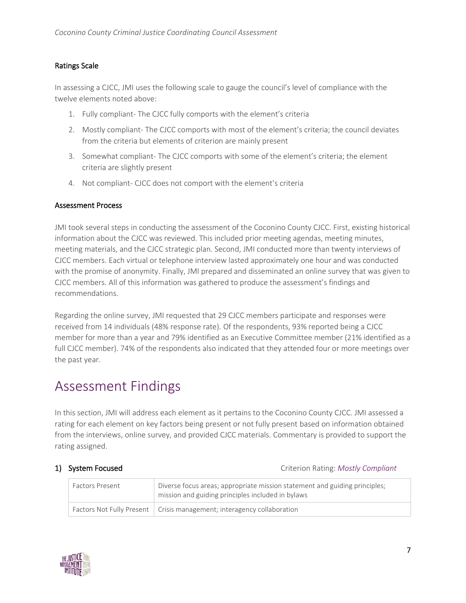### Ratings Scale

In assessing a CJCC, JMI uses the following scale to gauge the council's level of compliance with the twelve elements noted above:

- 1. Fully compliant- The CJCC fully comports with the element's criteria
- 2. Mostly compliant- The CJCC comports with most of the element's criteria; the council deviates from the criteria but elements of criterion are mainly present
- 3. Somewhat compliant- The CJCC comports with some of the element's criteria; the element criteria are slightly present
- 4. Not compliant- CJCC does not comport with the element's criteria

#### Assessment Process

JMI took several steps in conducting the assessment of the Coconino County CJCC. First, existing historical information about the CJCC was reviewed. This included prior meeting agendas, meeting minutes, meeting materials, and the CJCC strategic plan. Second, JMI conducted more than twenty interviews of CJCC members. Each virtual or telephone interview lasted approximately one hour and was conducted with the promise of anonymity. Finally, JMI prepared and disseminated an online survey that was given to CJCC members. All of this information was gathered to produce the assessment's findings and recommendations.

Regarding the online survey, JMI requested that 29 CJCC members participate and responses were received from 14 individuals (48% response rate). Of the respondents, 93% reported being a CJCC member for more than a year and 79% identified as an Executive Committee member (21% identified as a full CJCC member). 74% of the respondents also indicated that they attended four or more meetings over the past year.

## Assessment Findings

In this section, JMI will address each element as it pertains to the Coconino County CJCC. JMI assessed a rating for each element on key factors being present or not fully present based on information obtained from the interviews, online survey, and provided CJCC materials. Commentary is provided to support the rating assigned.

1) System Focused Criterion Rating: *Mostly Compliant*

| <b>Factors Present</b> | Diverse focus areas; appropriate mission statement and guiding principles;<br>mission and guiding principles included in bylaws |
|------------------------|---------------------------------------------------------------------------------------------------------------------------------|
|                        | Factors Not Fully Present   Crisis management; interagency collaboration                                                        |

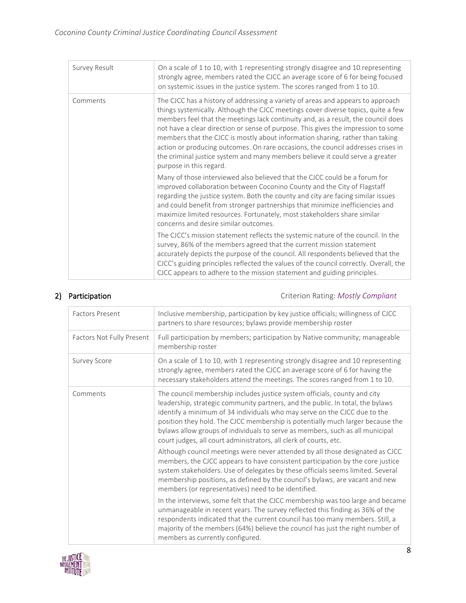| Survey Result | On a scale of 1 to 10, with 1 representing strongly disagree and 10 representing<br>strongly agree, members rated the CJCC an average score of 6 for being focused<br>on systemic issues in the justice system. The scores ranged from 1 to 10.                                                                                                                                                                                                                                                                                                                                                                                 |
|---------------|---------------------------------------------------------------------------------------------------------------------------------------------------------------------------------------------------------------------------------------------------------------------------------------------------------------------------------------------------------------------------------------------------------------------------------------------------------------------------------------------------------------------------------------------------------------------------------------------------------------------------------|
| Comments      | The CJCC has a history of addressing a variety of areas and appears to approach<br>things systemically. Although the CJCC meetings cover diverse topics, quite a few<br>members feel that the meetings lack continuity and, as a result, the council does<br>not have a clear direction or sense of purpose. This gives the impression to some<br>members that the CJCC is mostly about information sharing, rather than taking<br>action or producing outcomes. On rare occasions, the council addresses crises in<br>the criminal justice system and many members believe it could serve a greater<br>purpose in this regard. |
|               | Many of those interviewed also believed that the CJCC could be a forum for<br>improved collaboration between Coconino County and the City of Flagstaff<br>regarding the justice system. Both the county and city are facing similar issues<br>and could benefit from stronger partnerships that minimize inefficiencies and<br>maximize limited resources. Fortunately, most stakeholders share similar<br>concerns and desire similar outcomes.                                                                                                                                                                                |
|               | The CJCC's mission statement reflects the systemic nature of the council. In the<br>survey, 86% of the members agreed that the current mission statement<br>accurately depicts the purpose of the council. All respondents believed that the<br>CJCC's guiding principles reflected the values of the council correctly. Overall, the<br>CJCC appears to adhere to the mission statement and guiding principles.                                                                                                                                                                                                                |

2) Participation Criterion Rating: *Mostly Compliant*

| <b>Factors Present</b>    | Inclusive membership, participation by key justice officials; willingness of CJCC<br>partners to share resources; bylaws provide membership roster                                                                                                                                                                                                                                                                                                                               |
|---------------------------|----------------------------------------------------------------------------------------------------------------------------------------------------------------------------------------------------------------------------------------------------------------------------------------------------------------------------------------------------------------------------------------------------------------------------------------------------------------------------------|
| Factors Not Fully Present | Full participation by members; participation by Native community; manageable<br>membership roster                                                                                                                                                                                                                                                                                                                                                                                |
| <b>Survey Score</b>       | On a scale of 1 to 10, with 1 representing strongly disagree and 10 representing<br>strongly agree, members rated the CJCC an average score of 6 for having the<br>necessary stakeholders attend the meetings. The scores ranged from 1 to 10.                                                                                                                                                                                                                                   |
| Comments                  | The council membership includes justice system officials, county and city<br>leadership, strategic community partners, and the public. In total, the bylaws<br>identify a minimum of 34 individuals who may serve on the CJCC due to the<br>position they hold. The CJCC membership is potentially much larger because the<br>bylaws allow groups of individuals to serve as members, such as all municipal<br>court judges, all court administrators, all clerk of courts, etc. |
|                           | Although council meetings were never attended by all those designated as CJCC<br>members, the CJCC appears to have consistent participation by the core justice<br>system stakeholders. Use of delegates by these officials seems limited. Several<br>membership positions, as defined by the council's bylaws, are vacant and new<br>members (or representatives) need to be identified.                                                                                        |
|                           | In the interviews, some felt that the CJCC membership was too large and became<br>unmanageable in recent years. The survey reflected this finding as 36% of the<br>respondents indicated that the current council has too many members. Still, a<br>majority of the members (64%) believe the council has just the right number of<br>members as currently configured.                                                                                                           |

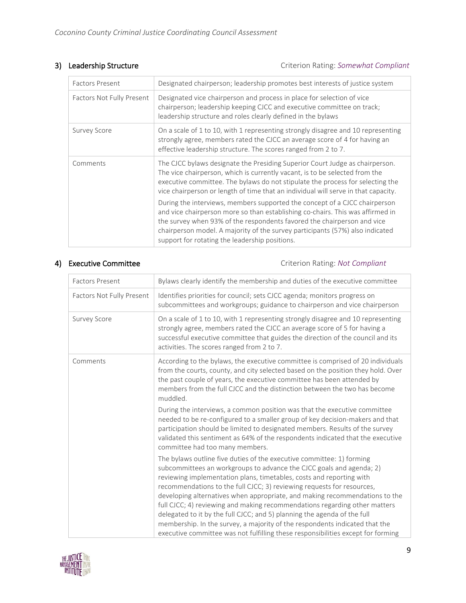### 3) Leadership Structure **Criterion Rating:** *Somewhat Compliant* **Criterion Rating:** *Somewhat Compliant*

| <b>Factors Present</b>    | Designated chairperson; leadership promotes best interests of justice system                                                                                                                                                                                                                                                                                               |
|---------------------------|----------------------------------------------------------------------------------------------------------------------------------------------------------------------------------------------------------------------------------------------------------------------------------------------------------------------------------------------------------------------------|
| Factors Not Fully Present | Designated vice chairperson and process in place for selection of vice<br>chairperson; leadership keeping CJCC and executive committee on track;<br>leadership structure and roles clearly defined in the bylaws                                                                                                                                                           |
| <b>Survey Score</b>       | On a scale of 1 to 10, with 1 representing strongly disagree and 10 representing<br>strongly agree, members rated the CJCC an average score of 4 for having an<br>effective leadership structure. The scores ranged from 2 to 7.                                                                                                                                           |
| Comments                  | The CJCC bylaws designate the Presiding Superior Court Judge as chairperson.<br>The vice chairperson, which is currently vacant, is to be selected from the<br>executive committee. The bylaws do not stipulate the process for selecting the<br>vice chairperson or length of time that an individual will serve in that capacity.                                        |
|                           | During the interviews, members supported the concept of a CJCC chairperson<br>and vice chairperson more so than establishing co-chairs. This was affirmed in<br>the survey when 93% of the respondents favored the chairperson and vice<br>chairperson model. A majority of the survey participants (57%) also indicated<br>support for rotating the leadership positions. |

4) Executive Committee **Committee** Criterion Rating: *Not Compliant* 

| <b>Factors Present</b>    | Bylaws clearly identify the membership and duties of the executive committee                                                                                                                                                                                                                                                                                                                                                                                                                                                                                                                                                                                                                                |
|---------------------------|-------------------------------------------------------------------------------------------------------------------------------------------------------------------------------------------------------------------------------------------------------------------------------------------------------------------------------------------------------------------------------------------------------------------------------------------------------------------------------------------------------------------------------------------------------------------------------------------------------------------------------------------------------------------------------------------------------------|
| Factors Not Fully Present | Identifies priorities for council; sets CJCC agenda; monitors progress on<br>subcommittees and workgroups; guidance to chairperson and vice chairperson                                                                                                                                                                                                                                                                                                                                                                                                                                                                                                                                                     |
| <b>Survey Score</b>       | On a scale of 1 to 10, with 1 representing strongly disagree and 10 representing<br>strongly agree, members rated the CJCC an average score of 5 for having a<br>successful executive committee that guides the direction of the council and its<br>activities. The scores ranged from 2 to 7.                                                                                                                                                                                                                                                                                                                                                                                                              |
| Comments                  | According to the bylaws, the executive committee is comprised of 20 individuals<br>from the courts, county, and city selected based on the position they hold. Over<br>the past couple of years, the executive committee has been attended by<br>members from the full CJCC and the distinction between the two has become<br>muddled.                                                                                                                                                                                                                                                                                                                                                                      |
|                           | During the interviews, a common position was that the executive committee<br>needed to be re-configured to a smaller group of key decision-makers and that<br>participation should be limited to designated members. Results of the survey<br>validated this sentiment as 64% of the respondents indicated that the executive<br>committee had too many members.                                                                                                                                                                                                                                                                                                                                            |
|                           | The bylaws outline five duties of the executive committee: 1) forming<br>subcommittees an workgroups to advance the CJCC goals and agenda; 2)<br>reviewing implementation plans, timetables, costs and reporting with<br>recommendations to the full CJCC; 3) reviewing requests for resources,<br>developing alternatives when appropriate, and making recommendations to the<br>full CJCC; 4) reviewing and making recommendations regarding other matters<br>delegated to it by the full CJCC; and 5) planning the agenda of the full<br>membership. In the survey, a majority of the respondents indicated that the<br>executive committee was not fulfilling these responsibilities except for forming |

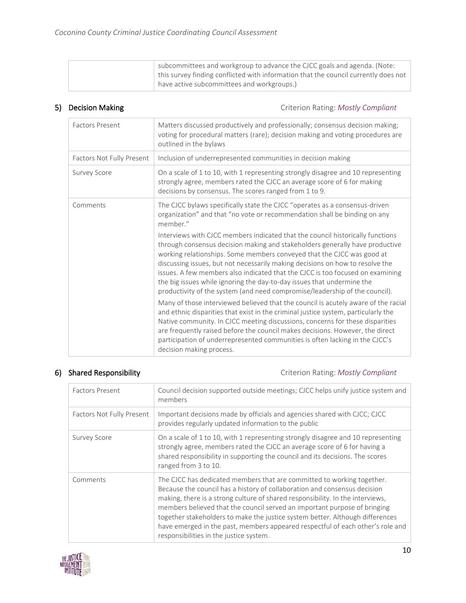| subcommittees and workgroup to advance the CJCC goals and agenda. (Note:                  |
|-------------------------------------------------------------------------------------------|
| $\pm$ this survey finding conflicted with information that the council currently does not |
| have active subcommittees and workgroups.)                                                |

5) Decision Making **Criterion Rating:** *Mostly Compliant* Criterion Rating: *Mostly Compliant* 

| <b>Factors Present</b>    | Matters discussed productively and professionally; consensus decision making;<br>voting for procedural matters (rare); decision making and voting procedures are<br>outlined in the bylaws                                                                                                                                                                                                                                                                                                                                                                           |
|---------------------------|----------------------------------------------------------------------------------------------------------------------------------------------------------------------------------------------------------------------------------------------------------------------------------------------------------------------------------------------------------------------------------------------------------------------------------------------------------------------------------------------------------------------------------------------------------------------|
| Factors Not Fully Present | Inclusion of underrepresented communities in decision making                                                                                                                                                                                                                                                                                                                                                                                                                                                                                                         |
| <b>Survey Score</b>       | On a scale of 1 to 10, with 1 representing strongly disagree and 10 representing<br>strongly agree, members rated the CJCC an average score of 6 for making<br>decisions by consensus. The scores ranged from 1 to 9.                                                                                                                                                                                                                                                                                                                                                |
| Comments                  | The CJCC bylaws specifically state the CJCC "operates as a consensus-driven<br>organization" and that "no vote or recommendation shall be binding on any<br>member."                                                                                                                                                                                                                                                                                                                                                                                                 |
|                           | Interviews with CJCC members indicated that the council historically functions<br>through consensus decision making and stakeholders generally have productive<br>working relationships. Some members conveyed that the CJCC was good at<br>discussing issues, but not necessarily making decisions on how to resolve the<br>issues. A few members also indicated that the CJCC is too focused on examining<br>the big issues while ignoring the day-to-day issues that undermine the<br>productivity of the system (and need compromise/leadership of the council). |
|                           | Many of those interviewed believed that the council is acutely aware of the racial<br>and ethnic disparities that exist in the criminal justice system, particularly the<br>Native community. In CJCC meeting discussions, concerns for these disparities<br>are frequently raised before the council makes decisions. However, the direct<br>participation of underrepresented communities is often lacking in the CJCC's<br>decision making process.                                                                                                               |

6) Shared Responsibility **Citeman Compliant** Criterion Rating: *Mostly Compliant* Criterion Rating: *Mostly Compliant* 

| <b>Factors Present</b>    | Council decision supported outside meetings; CJCC helps unify justice system and<br>members                                                                                                                                                                                                                                                                                                                                                                                                                                      |
|---------------------------|----------------------------------------------------------------------------------------------------------------------------------------------------------------------------------------------------------------------------------------------------------------------------------------------------------------------------------------------------------------------------------------------------------------------------------------------------------------------------------------------------------------------------------|
| Factors Not Fully Present | Important decisions made by officials and agencies shared with CJCC; CJCC<br>provides regularly updated information to the public                                                                                                                                                                                                                                                                                                                                                                                                |
| <b>Survey Score</b>       | On a scale of 1 to 10, with 1 representing strongly disagree and 10 representing<br>strongly agree, members rated the CJCC an average score of 6 for having a<br>shared responsibility in supporting the council and its decisions. The scores<br>ranged from 3 to 10.                                                                                                                                                                                                                                                           |
| Comments                  | The CJCC has dedicated members that are committed to working together.<br>Because the council has a history of collaboration and consensus decision<br>making, there is a strong culture of shared responsibility. In the interviews,<br>members believed that the council served an important purpose of bringing<br>together stakeholders to make the justice system better. Although differences<br>have emerged in the past, members appeared respectful of each other's role and<br>responsibilities in the justice system. |

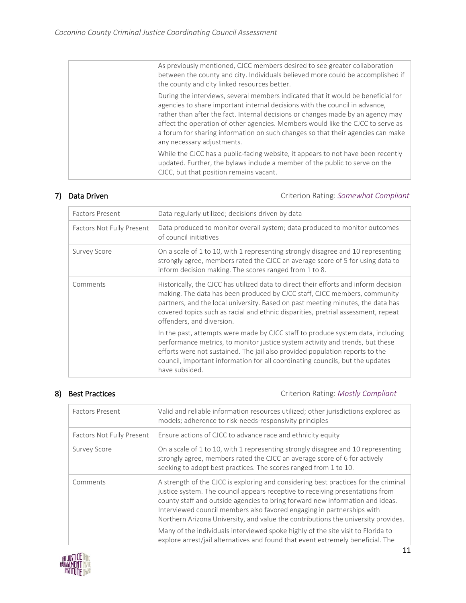| As previously mentioned, CJCC members desired to see greater collaboration<br>between the county and city. Individuals believed more could be accomplished if<br>the county and city linked resources better.                                                                                                                                                                                                                                          |
|--------------------------------------------------------------------------------------------------------------------------------------------------------------------------------------------------------------------------------------------------------------------------------------------------------------------------------------------------------------------------------------------------------------------------------------------------------|
| During the interviews, several members indicated that it would be beneficial for<br>agencies to share important internal decisions with the council in advance,<br>rather than after the fact. Internal decisions or changes made by an agency may<br>affect the operation of other agencies. Members would like the CJCC to serve as<br>a forum for sharing information on such changes so that their agencies can make<br>any necessary adjustments. |
| While the CJCC has a public-facing website, it appears to not have been recently<br>updated. Further, the bylaws include a member of the public to serve on the<br>CJCC, but that position remains vacant.                                                                                                                                                                                                                                             |

7) Data Driven **Canadian Criterion Rating:** *Somewhat Compliant* **Criterion Rating:** *Somewhat Compliant* 

| <b>Factors Present</b>    | Data regularly utilized; decisions driven by data                                                                                                                                                                                                                                                                                                                      |
|---------------------------|------------------------------------------------------------------------------------------------------------------------------------------------------------------------------------------------------------------------------------------------------------------------------------------------------------------------------------------------------------------------|
| Factors Not Fully Present | Data produced to monitor overall system; data produced to monitor outcomes<br>of council initiatives                                                                                                                                                                                                                                                                   |
| <b>Survey Score</b>       | On a scale of 1 to 10, with 1 representing strongly disagree and 10 representing<br>strongly agree, members rated the CJCC an average score of 5 for using data to<br>inform decision making. The scores ranged from 1 to 8.                                                                                                                                           |
| Comments                  | Historically, the CJCC has utilized data to direct their efforts and inform decision<br>making. The data has been produced by CJCC staff, CJCC members, community<br>partners, and the local university. Based on past meeting minutes, the data has<br>covered topics such as racial and ethnic disparities, pretrial assessment, repeat<br>offenders, and diversion. |
|                           | In the past, attempts were made by CJCC staff to produce system data, including<br>performance metrics, to monitor justice system activity and trends, but these<br>efforts were not sustained. The jail also provided population reports to the<br>council, important information for all coordinating councils, but the updates<br>have subsided.                    |

8) Best Practices **Criterion Rating:** *Mostly Compliant* Criterion Rating: *Mostly Compliant* 

| Factors Present           | Valid and reliable information resources utilized; other jurisdictions explored as<br>models; adherence to risk-needs-responsivity principles                                                                                                                                                                                                                                                                                                                                                                                                                                               |
|---------------------------|---------------------------------------------------------------------------------------------------------------------------------------------------------------------------------------------------------------------------------------------------------------------------------------------------------------------------------------------------------------------------------------------------------------------------------------------------------------------------------------------------------------------------------------------------------------------------------------------|
| Factors Not Fully Present | Ensure actions of CJCC to advance race and ethnicity equity                                                                                                                                                                                                                                                                                                                                                                                                                                                                                                                                 |
| <b>Survey Score</b>       | On a scale of 1 to 10, with 1 representing strongly disagree and 10 representing<br>strongly agree, members rated the CJCC an average score of 6 for actively<br>seeking to adopt best practices. The scores ranged from 1 to 10.                                                                                                                                                                                                                                                                                                                                                           |
| Comments                  | A strength of the CJCC is exploring and considering best practices for the criminal<br>justice system. The council appears receptive to receiving presentations from<br>county staff and outside agencies to bring forward new information and ideas.<br>Interviewed council members also favored engaging in partnerships with<br>Northern Arizona University, and value the contributions the university provides.<br>Many of the individuals interviewed spoke highly of the site visit to Florida to<br>explore arrest/jail alternatives and found that event extremely beneficial. The |

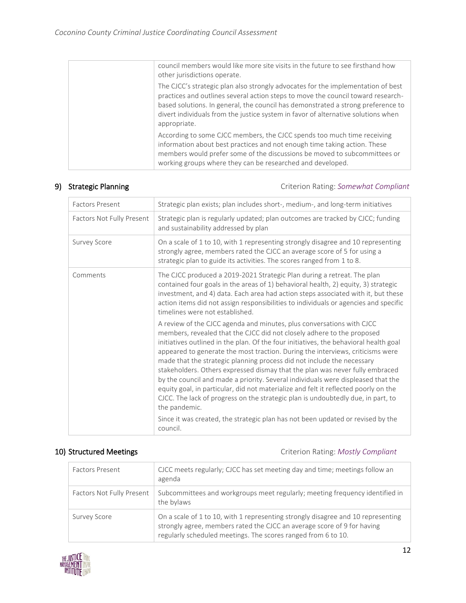| council members would like more site visits in the future to see firsthand how<br>other jurisdictions operate.                                                                                                                                                                                                                                                |
|---------------------------------------------------------------------------------------------------------------------------------------------------------------------------------------------------------------------------------------------------------------------------------------------------------------------------------------------------------------|
| The CJCC's strategic plan also strongly advocates for the implementation of best<br>practices and outlines several action steps to move the council toward research-<br>based solutions. In general, the council has demonstrated a strong preference to<br>divert individuals from the justice system in favor of alternative solutions when<br>appropriate. |
| According to some CJCC members, the CJCC spends too much time receiving<br>information about best practices and not enough time taking action. These<br>members would prefer some of the discussions be moved to subcommittees or<br>working groups where they can be researched and developed.                                                               |

9) Strategic Planning **Cames and Compliant** Criterion Rating: *Somewhat Compliant* 

| <b>Factors Present</b>    | Strategic plan exists; plan includes short-, medium-, and long-term initiatives                                                                                                                                                                                                                                                                                                                                                                                                                                                                                                                                                                                                                                                                                      |
|---------------------------|----------------------------------------------------------------------------------------------------------------------------------------------------------------------------------------------------------------------------------------------------------------------------------------------------------------------------------------------------------------------------------------------------------------------------------------------------------------------------------------------------------------------------------------------------------------------------------------------------------------------------------------------------------------------------------------------------------------------------------------------------------------------|
| Factors Not Fully Present | Strategic plan is regularly updated; plan outcomes are tracked by CJCC; funding<br>and sustainability addressed by plan                                                                                                                                                                                                                                                                                                                                                                                                                                                                                                                                                                                                                                              |
| <b>Survey Score</b>       | On a scale of 1 to 10, with 1 representing strongly disagree and 10 representing<br>strongly agree, members rated the CJCC an average score of 5 for using a<br>strategic plan to guide its activities. The scores ranged from 1 to 8.                                                                                                                                                                                                                                                                                                                                                                                                                                                                                                                               |
| Comments                  | The CJCC produced a 2019-2021 Strategic Plan during a retreat. The plan<br>contained four goals in the areas of 1) behavioral health, 2) equity, 3) strategic<br>investment, and 4) data. Each area had action steps associated with it, but these<br>action items did not assign responsibilities to individuals or agencies and specific<br>timelines were not established.                                                                                                                                                                                                                                                                                                                                                                                        |
|                           | A review of the CJCC agenda and minutes, plus conversations with CJCC<br>members, revealed that the CJCC did not closely adhere to the proposed<br>initiatives outlined in the plan. Of the four initiatives, the behavioral health goal<br>appeared to generate the most traction. During the interviews, criticisms were<br>made that the strategic planning process did not include the necessary<br>stakeholders. Others expressed dismay that the plan was never fully embraced<br>by the council and made a priority. Several individuals were displeased that the<br>equity goal, in particular, did not materialize and felt it reflected poorly on the<br>CJCC. The lack of progress on the strategic plan is undoubtedly due, in part, to<br>the pandemic. |
|                           | Since it was created, the strategic plan has not been updated or revised by the<br>council.                                                                                                                                                                                                                                                                                                                                                                                                                                                                                                                                                                                                                                                                          |

10) Structured Meetings **Criterion Rating:** *Mostly Compliant* Criterion Rating: *Mostly Compliant* 

| <b>Factors Present</b>    | CJCC meets regularly; CJCC has set meeting day and time; meetings follow an<br>agenda                                                                                                                                        |
|---------------------------|------------------------------------------------------------------------------------------------------------------------------------------------------------------------------------------------------------------------------|
| Factors Not Fully Present | Subcommittees and workgroups meet regularly; meeting frequency identified in<br>the bylaws                                                                                                                                   |
| <b>Survey Score</b>       | On a scale of 1 to 10, with 1 representing strongly disagree and 10 representing<br>strongly agree, members rated the CJCC an average score of 9 for having<br>regularly scheduled meetings. The scores ranged from 6 to 10. |

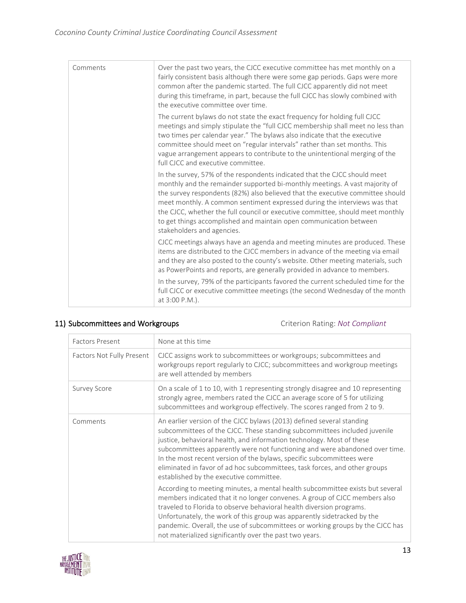| Comments | Over the past two years, the CJCC executive committee has met monthly on a<br>fairly consistent basis although there were some gap periods. Gaps were more<br>common after the pandemic started. The full CJCC apparently did not meet<br>during this timeframe, in part, because the full CJCC has slowly combined with<br>the executive committee over time.                                                                                                                                                |
|----------|---------------------------------------------------------------------------------------------------------------------------------------------------------------------------------------------------------------------------------------------------------------------------------------------------------------------------------------------------------------------------------------------------------------------------------------------------------------------------------------------------------------|
|          | The current bylaws do not state the exact frequency for holding full CJCC<br>meetings and simply stipulate the "full CJCC membership shall meet no less than<br>two times per calendar year." The bylaws also indicate that the executive<br>committee should meet on "regular intervals" rather than set months. This<br>vague arrangement appears to contribute to the unintentional merging of the<br>full CJCC and executive committee.                                                                   |
|          | In the survey, 57% of the respondents indicated that the CJCC should meet<br>monthly and the remainder supported bi-monthly meetings. A vast majority of<br>the survey respondents (82%) also believed that the executive committee should<br>meet monthly. A common sentiment expressed during the interviews was that<br>the CJCC, whether the full council or executive committee, should meet monthly<br>to get things accomplished and maintain open communication between<br>stakeholders and agencies. |
|          | CJCC meetings always have an agenda and meeting minutes are produced. These<br>items are distributed to the CJCC members in advance of the meeting via email<br>and they are also posted to the county's website. Other meeting materials, such<br>as PowerPoints and reports, are generally provided in advance to members.                                                                                                                                                                                  |
|          | In the survey, 79% of the participants favored the current scheduled time for the<br>full CJCC or executive committee meetings (the second Wednesday of the month<br>at 3:00 P.M.).                                                                                                                                                                                                                                                                                                                           |

### 11) Subcommittees and Workgroups Criterion Rating: *Not Compliant*

| <b>Factors Present</b>    | None at this time                                                                                                                                                                                                                                                                                                                                                                                                                                                                                            |
|---------------------------|--------------------------------------------------------------------------------------------------------------------------------------------------------------------------------------------------------------------------------------------------------------------------------------------------------------------------------------------------------------------------------------------------------------------------------------------------------------------------------------------------------------|
| Factors Not Fully Present | CJCC assigns work to subcommittees or workgroups; subcommittees and<br>workgroups report regularly to CJCC; subcommittees and workgroup meetings<br>are well attended by members                                                                                                                                                                                                                                                                                                                             |
| <b>Survey Score</b>       | On a scale of 1 to 10, with 1 representing strongly disagree and 10 representing<br>strongly agree, members rated the CJCC an average score of 5 for utilizing<br>subcommittees and workgroup effectively. The scores ranged from 2 to 9.                                                                                                                                                                                                                                                                    |
| Comments                  | An earlier version of the CJCC bylaws (2013) defined several standing<br>subcommittees of the CJCC. These standing subcommittees included juvenile<br>justice, behavioral health, and information technology. Most of these<br>subcommittees apparently were not functioning and were abandoned over time.<br>In the most recent version of the bylaws, specific subcommittees were<br>eliminated in favor of ad hoc subcommittees, task forces, and other groups<br>established by the executive committee. |
|                           | According to meeting minutes, a mental health subcommittee exists but several<br>members indicated that it no longer convenes. A group of CJCC members also<br>traveled to Florida to observe behavioral health diversion programs.<br>Unfortunately, the work of this group was apparently sidetracked by the<br>pandemic. Overall, the use of subcommittees or working groups by the CJCC has<br>not materialized significantly over the past two years.                                                   |

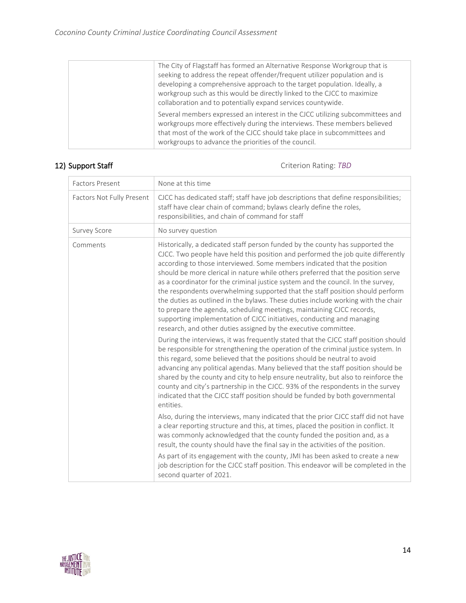| Several members expressed an interest in the CJCC utilizing subcommittees and<br>workgroups more effectively during the interviews. These members believed<br>that most of the work of the CJCC should take place in subcommittees and<br>workgroups to advance the priorities of the council.                                                                                  |
|---------------------------------------------------------------------------------------------------------------------------------------------------------------------------------------------------------------------------------------------------------------------------------------------------------------------------------------------------------------------------------|
| The City of Flagstaff has formed an Alternative Response Workgroup that is<br>seeking to address the repeat offender/frequent utilizer population and is<br>developing a comprehensive approach to the target population. Ideally, a<br>workgroup such as this would be directly linked to the CJCC to maximize<br>collaboration and to potentially expand services countywide. |

12) Support Staff Criterion Rating: TBD

| Factors Not Fully Present<br>CJCC has dedicated staff; staff have job descriptions that define responsibilities;<br>staff have clear chain of command; bylaws clearly define the roles,<br>responsibilities, and chain of command for staff<br>No survey question<br><b>Survey Score</b>                                                                                                                                                                                                                                                                                                                                                                                                                                                                                                                                                                                                                                                                                                                                                                                                                                                                                                                                                                                                                                                                                                                                                                                                                                                                                                                                                                                                                                                                                                                                                                                                                                                                                                      |  |
|-----------------------------------------------------------------------------------------------------------------------------------------------------------------------------------------------------------------------------------------------------------------------------------------------------------------------------------------------------------------------------------------------------------------------------------------------------------------------------------------------------------------------------------------------------------------------------------------------------------------------------------------------------------------------------------------------------------------------------------------------------------------------------------------------------------------------------------------------------------------------------------------------------------------------------------------------------------------------------------------------------------------------------------------------------------------------------------------------------------------------------------------------------------------------------------------------------------------------------------------------------------------------------------------------------------------------------------------------------------------------------------------------------------------------------------------------------------------------------------------------------------------------------------------------------------------------------------------------------------------------------------------------------------------------------------------------------------------------------------------------------------------------------------------------------------------------------------------------------------------------------------------------------------------------------------------------------------------------------------------------|--|
|                                                                                                                                                                                                                                                                                                                                                                                                                                                                                                                                                                                                                                                                                                                                                                                                                                                                                                                                                                                                                                                                                                                                                                                                                                                                                                                                                                                                                                                                                                                                                                                                                                                                                                                                                                                                                                                                                                                                                                                               |  |
|                                                                                                                                                                                                                                                                                                                                                                                                                                                                                                                                                                                                                                                                                                                                                                                                                                                                                                                                                                                                                                                                                                                                                                                                                                                                                                                                                                                                                                                                                                                                                                                                                                                                                                                                                                                                                                                                                                                                                                                               |  |
| Historically, a dedicated staff person funded by the county has supported the<br>Comments<br>CJCC. Two people have held this position and performed the job quite differently<br>according to those interviewed. Some members indicated that the position<br>should be more clerical in nature while others preferred that the position serve<br>as a coordinator for the criminal justice system and the council. In the survey,<br>the respondents overwhelming supported that the staff position should perform<br>the duties as outlined in the bylaws. These duties include working with the chair<br>to prepare the agenda, scheduling meetings, maintaining CJCC records,<br>supporting implementation of CJCC initiatives, conducting and managing<br>research, and other duties assigned by the executive committee.<br>During the interviews, it was frequently stated that the CJCC staff position should<br>be responsible for strengthening the operation of the criminal justice system. In<br>this regard, some believed that the positions should be neutral to avoid<br>advancing any political agendas. Many believed that the staff position should be<br>shared by the county and city to help ensure neutrality, but also to reinforce the<br>county and city's partnership in the CJCC. 93% of the respondents in the survey<br>indicated that the CJCC staff position should be funded by both governmental<br>entities.<br>Also, during the interviews, many indicated that the prior CJCC staff did not have<br>a clear reporting structure and this, at times, placed the position in conflict. It<br>was commonly acknowledged that the county funded the position and, as a<br>result, the county should have the final say in the activities of the position.<br>As part of its engagement with the county, JMI has been asked to create a new<br>job description for the CJCC staff position. This endeavor will be completed in the<br>second quarter of 2021. |  |

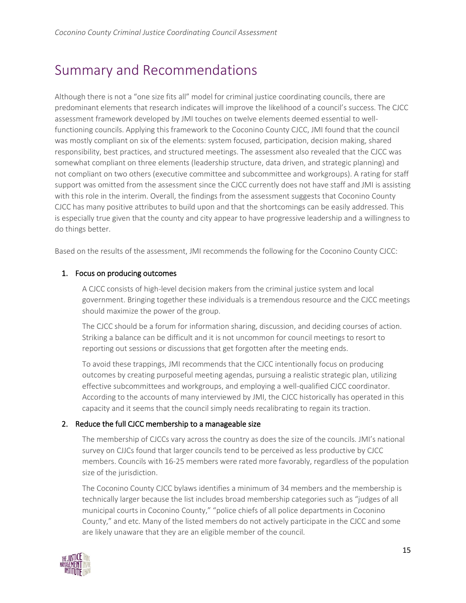## Summary and Recommendations

Although there is not a "one size fits all" model for criminal justice coordinating councils, there are predominant elements that research indicates will improve the likelihood of a council's success. The CJCC assessment framework developed by JMI touches on twelve elements deemed essential to wellfunctioning councils. Applying this framework to the Coconino County CJCC, JMI found that the council was mostly compliant on six of the elements: system focused, participation, decision making, shared responsibility, best practices, and structured meetings. The assessment also revealed that the CJCC was somewhat compliant on three elements (leadership structure, data driven, and strategic planning) and not compliant on two others (executive committee and subcommittee and workgroups). A rating for staff support was omitted from the assessment since the CJCC currently does not have staff and JMI is assisting with this role in the interim. Overall, the findings from the assessment suggests that Coconino County CJCC has many positive attributes to build upon and that the shortcomings can be easily addressed. This is especially true given that the county and city appear to have progressive leadership and a willingness to do things better.

Based on the results of the assessment, JMI recommends the following for the Coconino County CJCC:

#### 1. Focus on producing outcomes

A CJCC consists of high-level decision makers from the criminal justice system and local government. Bringing together these individuals is a tremendous resource and the CJCC meetings should maximize the power of the group.

The CJCC should be a forum for information sharing, discussion, and deciding courses of action. Striking a balance can be difficult and it is not uncommon for council meetings to resort to reporting out sessions or discussions that get forgotten after the meeting ends.

To avoid these trappings, JMI recommends that the CJCC intentionally focus on producing outcomes by creating purposeful meeting agendas, pursuing a realistic strategic plan, utilizing effective subcommittees and workgroups, and employing a well-qualified CJCC coordinator. According to the accounts of many interviewed by JMI, the CJCC historically has operated in this capacity and it seems that the council simply needs recalibrating to regain its traction.

### 2. Reduce the full CJCC membership to a manageable size

The membership of CJCCs vary across the country as does the size of the councils. JMI's national survey on CJJCs found that larger councils tend to be perceived as less productive by CJCC members. Councils with 16-25 members were rated more favorably, regardless of the population size of the jurisdiction.

The Coconino County CJCC bylaws identifies a minimum of 34 members and the membership is technically larger because the list includes broad membership categories such as "judges of all municipal courts in Coconino County," "police chiefs of all police departments in Coconino County," and etc. Many of the listed members do not actively participate in the CJCC and some are likely unaware that they are an eligible member of the council.

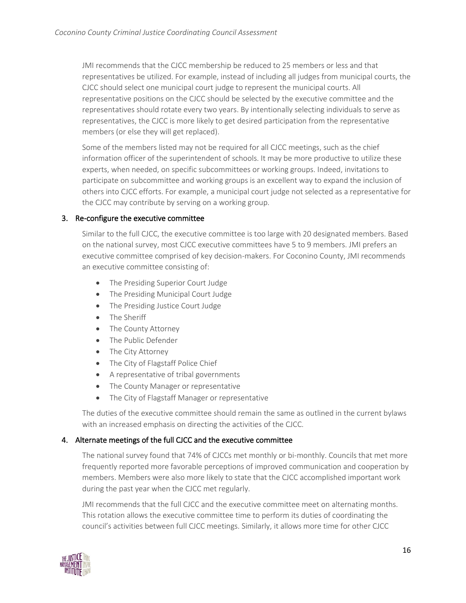JMI recommends that the CJCC membership be reduced to 25 members or less and that representatives be utilized. For example, instead of including all judges from municipal courts, the CJCC should select one municipal court judge to represent the municipal courts. All representative positions on the CJCC should be selected by the executive committee and the representatives should rotate every two years. By intentionally selecting individuals to serve as representatives, the CJCC is more likely to get desired participation from the representative members (or else they will get replaced).

Some of the members listed may not be required for all CJCC meetings, such as the chief information officer of the superintendent of schools. It may be more productive to utilize these experts, when needed, on specific subcommittees or working groups. Indeed, invitations to participate on subcommittee and working groups is an excellent way to expand the inclusion of others into CJCC efforts. For example, a municipal court judge not selected as a representative for the CJCC may contribute by serving on a working group.

#### 3. Re-configure the executive committee

Similar to the full CJCC, the executive committee is too large with 20 designated members. Based on the national survey, most CJCC executive committees have 5 to 9 members. JMI prefers an executive committee comprised of key decision-makers. For Coconino County, JMI recommends an executive committee consisting of:

- The Presiding Superior Court Judge
- The Presiding Municipal Court Judge
- The Presiding Justice Court Judge
- The Sheriff
- The County Attorney
- The Public Defender
- The City Attorney
- The City of Flagstaff Police Chief
- A representative of tribal governments
- The County Manager or representative
- The City of Flagstaff Manager or representative

The duties of the executive committee should remain the same as outlined in the current bylaws with an increased emphasis on directing the activities of the CJCC.

#### 4. Alternate meetings of the full CJCC and the executive committee

The national survey found that 74% of CJCCs met monthly or bi-monthly. Councils that met more frequently reported more favorable perceptions of improved communication and cooperation by members. Members were also more likely to state that the CJCC accomplished important work during the past year when the CJCC met regularly.

JMI recommends that the full CJCC and the executive committee meet on alternating months. This rotation allows the executive committee time to perform its duties of coordinating the council's activities between full CJCC meetings. Similarly, it allows more time for other CJCC

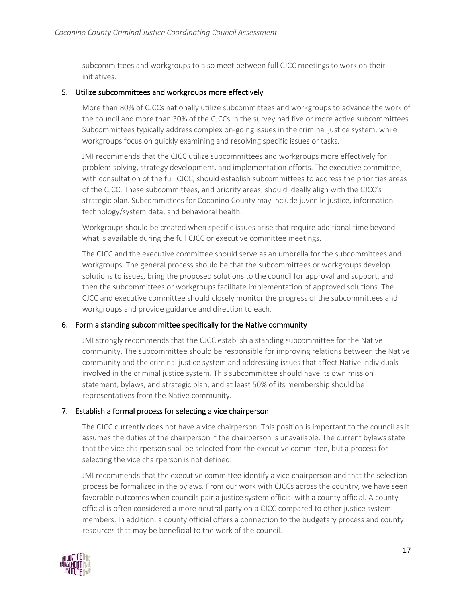subcommittees and workgroups to also meet between full CJCC meetings to work on their initiatives.

#### 5. Utilize subcommittees and workgroups more effectively

More than 80% of CJCCs nationally utilize subcommittees and workgroups to advance the work of the council and more than 30% of the CJCCs in the survey had five or more active subcommittees. Subcommittees typically address complex on-going issues in the criminal justice system, while workgroups focus on quickly examining and resolving specific issues or tasks.

JMI recommends that the CJCC utilize subcommittees and workgroups more effectively for problem-solving, strategy development, and implementation efforts. The executive committee, with consultation of the full CJCC, should establish subcommittees to address the priorities areas of the CJCC. These subcommittees, and priority areas, should ideally align with the CJCC's strategic plan. Subcommittees for Coconino County may include juvenile justice, information technology/system data, and behavioral health.

Workgroups should be created when specific issues arise that require additional time beyond what is available during the full CJCC or executive committee meetings.

The CJCC and the executive committee should serve as an umbrella for the subcommittees and workgroups. The general process should be that the subcommittees or workgroups develop solutions to issues, bring the proposed solutions to the council for approval and support, and then the subcommittees or workgroups facilitate implementation of approved solutions. The CJCC and executive committee should closely monitor the progress of the subcommittees and workgroups and provide guidance and direction to each.

#### 6. Form a standing subcommittee specifically for the Native community

JMI strongly recommends that the CJCC establish a standing subcommittee for the Native community. The subcommittee should be responsible for improving relations between the Native community and the criminal justice system and addressing issues that affect Native individuals involved in the criminal justice system. This subcommittee should have its own mission statement, bylaws, and strategic plan, and at least 50% of its membership should be representatives from the Native community.

#### 7. Establish a formal process for selecting a vice chairperson

The CJCC currently does not have a vice chairperson. This position is important to the council as it assumes the duties of the chairperson if the chairperson is unavailable. The current bylaws state that the vice chairperson shall be selected from the executive committee, but a process for selecting the vice chairperson is not defined.

JMI recommends that the executive committee identify a vice chairperson and that the selection process be formalized in the bylaws. From our work with CJCCs across the country, we have seen favorable outcomes when councils pair a justice system official with a county official. A county official is often considered a more neutral party on a CJCC compared to other justice system members. In addition, a county official offers a connection to the budgetary process and county resources that may be beneficial to the work of the council.

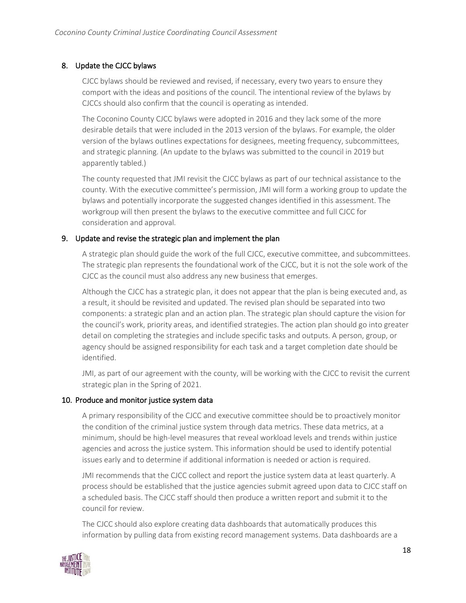### 8. Update the CJCC bylaws

CJCC bylaws should be reviewed and revised, if necessary, every two years to ensure they comport with the ideas and positions of the council. The intentional review of the bylaws by CJCCs should also confirm that the council is operating as intended.

The Coconino County CJCC bylaws were adopted in 2016 and they lack some of the more desirable details that were included in the 2013 version of the bylaws. For example, the older version of the bylaws outlines expectations for designees, meeting frequency, subcommittees, and strategic planning. (An update to the bylaws was submitted to the council in 2019 but apparently tabled.)

The county requested that JMI revisit the CJCC bylaws as part of our technical assistance to the county. With the executive committee's permission, JMI will form a working group to update the bylaws and potentially incorporate the suggested changes identified in this assessment. The workgroup will then present the bylaws to the executive committee and full CJCC for consideration and approval.

#### 9. Update and revise the strategic plan and implement the plan

A strategic plan should guide the work of the full CJCC, executive committee, and subcommittees. The strategic plan represents the foundational work of the CJCC, but it is not the sole work of the CJCC as the council must also address any new business that emerges.

Although the CJCC has a strategic plan, it does not appear that the plan is being executed and, as a result, it should be revisited and updated. The revised plan should be separated into two components: a strategic plan and an action plan. The strategic plan should capture the vision for the council's work, priority areas, and identified strategies. The action plan should go into greater detail on completing the strategies and include specific tasks and outputs. A person, group, or agency should be assigned responsibility for each task and a target completion date should be identified.

JMI, as part of our agreement with the county, will be working with the CJCC to revisit the current strategic plan in the Spring of 2021.

#### 10. Produce and monitor justice system data

A primary responsibility of the CJCC and executive committee should be to proactively monitor the condition of the criminal justice system through data metrics. These data metrics, at a minimum, should be high-level measures that reveal workload levels and trends within justice agencies and across the justice system. This information should be used to identify potential issues early and to determine if additional information is needed or action is required.

JMI recommends that the CJCC collect and report the justice system data at least quarterly. A process should be established that the justice agencies submit agreed upon data to CJCC staff on a scheduled basis. The CJCC staff should then produce a written report and submit it to the council for review.

The CJCC should also explore creating data dashboards that automatically produces this information by pulling data from existing record management systems. Data dashboards are a

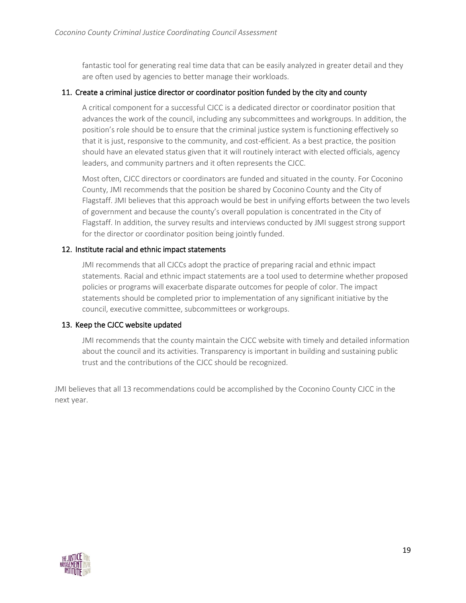fantastic tool for generating real time data that can be easily analyzed in greater detail and they are often used by agencies to better manage their workloads.

#### 11. Create a criminal justice director or coordinator position funded by the city and county

A critical component for a successful CJCC is a dedicated director or coordinator position that advances the work of the council, including any subcommittees and workgroups. In addition, the position's role should be to ensure that the criminal justice system is functioning effectively so that it is just, responsive to the community, and cost-efficient. As a best practice, the position should have an elevated status given that it will routinely interact with elected officials, agency leaders, and community partners and it often represents the CJCC.

Most often, CJCC directors or coordinators are funded and situated in the county. For Coconino County, JMI recommends that the position be shared by Coconino County and the City of Flagstaff. JMI believes that this approach would be best in unifying efforts between the two levels of government and because the county's overall population is concentrated in the City of Flagstaff. In addition, the survey results and interviews conducted by JMI suggest strong support for the director or coordinator position being jointly funded.

#### 12. Institute racial and ethnic impact statements

JMI recommends that all CJCCs adopt the practice of preparing racial and ethnic impact statements. Racial and ethnic impact statements are a tool used to determine whether proposed policies or programs will exacerbate disparate outcomes for people of color. The impact statements should be completed prior to implementation of any significant initiative by the council, executive committee, subcommittees or workgroups.

#### 13. Keep the CJCC website updated

JMI recommends that the county maintain the CJCC website with timely and detailed information about the council and its activities. Transparency is important in building and sustaining public trust and the contributions of the CJCC should be recognized.

JMI believes that all 13 recommendations could be accomplished by the Coconino County CJCC in the next year.

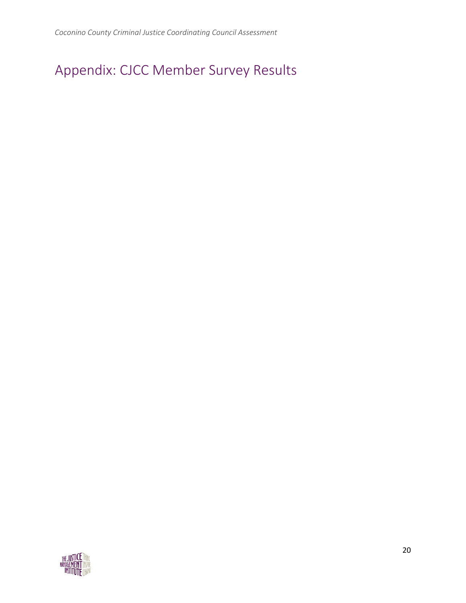# Appendix: CJCC Member Survey Results

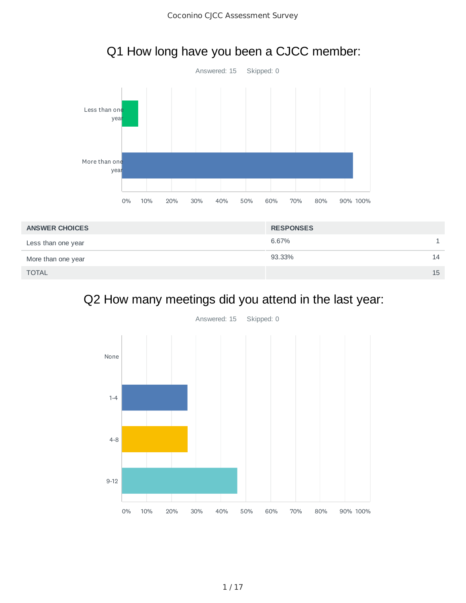Q1 How long have you been a CJCC member:



## Q2 How many meetings did you attend in the last year:

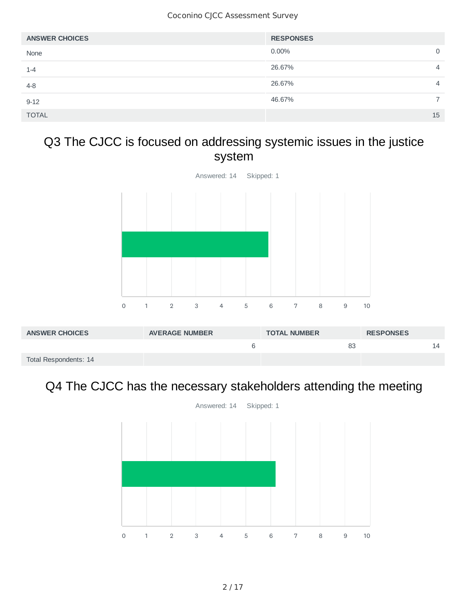| <b>ANSWER CHOICES</b> | <b>RESPONSES</b> |                |
|-----------------------|------------------|----------------|
| None                  | $0.00\%$         | 0              |
| $1 - 4$               | 26.67%           | $\overline{4}$ |
| $4 - 8$               | 26.67%           | $\overline{4}$ |
| $9 - 12$              | 46.67%           |                |
| <b>TOTAL</b>          |                  | 15             |

## Q3 The CJCC is focused on addressing systemic issues in the justice system



## Q4 The CJCC has the necessary stakeholders attending the meeting

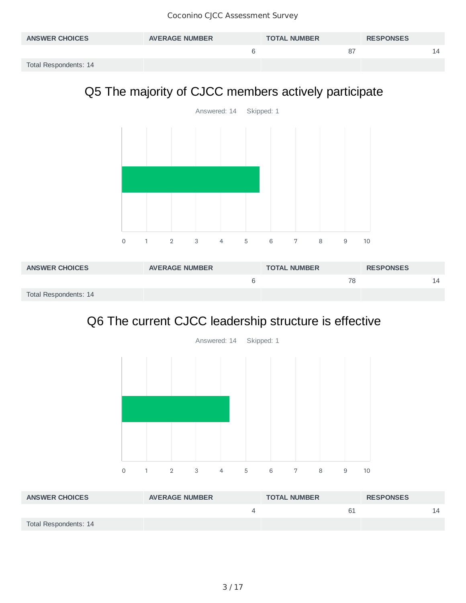| <b>ANSWER CHOICES</b> | <b>AVERAGE NUMBER</b> | <b>TOTAL NUMBER</b> | <b>RESPONSES</b> |    |
|-----------------------|-----------------------|---------------------|------------------|----|
|                       |                       | 87                  |                  | 4ء |
| Total Respondents: 14 |                       |                     |                  |    |

## Q5 The majority of CJCC members actively participate



| <b>ANSWER CHOICES</b> | <b>AVERAGE NUMBER</b> | <b>TOTAL NUMBER</b> | <b>RESPONSES</b> |
|-----------------------|-----------------------|---------------------|------------------|
|                       |                       | 78                  | 4ء               |
| Total Respondents: 14 |                       |                     |                  |

## Q6 The current CJCC leadership structure is effective



| <b>ANSWER CHOICES</b> | <b>AVERAGE NUMBER</b> | <b>TOTAL NUMBER</b> | <b>RESPONSES</b> |    |
|-----------------------|-----------------------|---------------------|------------------|----|
|                       |                       | -61                 |                  | 14 |
| Total Respondents: 14 |                       |                     |                  |    |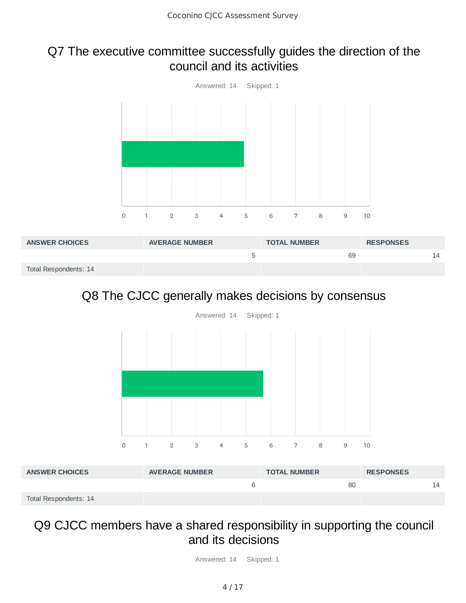## Q7 The executive committee successfully guides the direction of the council and its activities



| <b>ANSWER CHOICES</b> | <b>AVERAGE NUMBER</b> | <b>TOTAL NUMBER</b> | <b>RESPONSES</b> |    |
|-----------------------|-----------------------|---------------------|------------------|----|
|                       |                       | 69                  |                  | 14 |
| Total Respondents: 14 |                       |                     |                  |    |

## Q8 The CJCC generally makes decisions by consensus



| <b>ANSWER CHOICES</b> | <b>AVERAGE NUMBER</b> | <b>TOTAL NUMBER</b> | <b>RESPONSES</b> |
|-----------------------|-----------------------|---------------------|------------------|
|                       |                       | 80                  | 14               |
| Total Respondents: 14 |                       |                     |                  |

## Q9 CJCC members have a shared responsibility in supporting the council and its decisions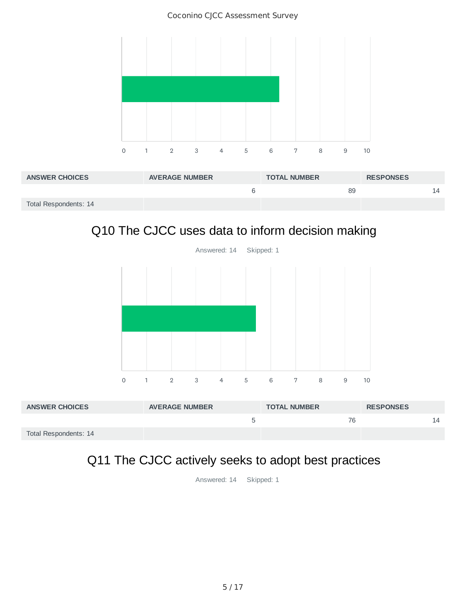Coconino CJCC Assessment Survey



| <b>ANSWER CHOICES</b> | <b>AVERAGE NUMBER</b> | <b>TOTAL NUMBER</b> | <b>RESPONSES</b> |   |
|-----------------------|-----------------------|---------------------|------------------|---|
|                       |                       | 89                  |                  | ∠ |
| Total Respondents: 14 |                       |                     |                  |   |

## Q10 The CJCC uses data to inform decision making



| <b>ANSWER CHOICES</b> | <b>AVERAGE NUMBER</b> | <b>TOTAL NUMBER</b> | <b>RESPONSES</b> |
|-----------------------|-----------------------|---------------------|------------------|
|                       |                       | 76                  | 14               |
| Total Respondents: 14 |                       |                     |                  |

## Q11 The CJCC actively seeks to adopt best practices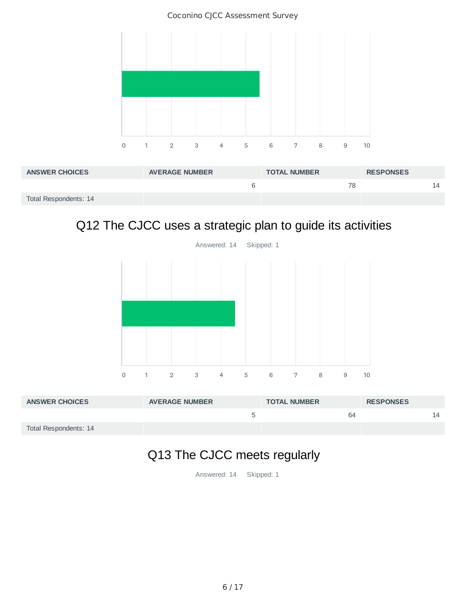Coconino CJCC Assessment Survey



| <b>ANSWER CHOICES</b> | <b>AVERAGE NUMBER</b> | <b>TOTAL NUMBER</b> | <b>RESPONSES</b> |
|-----------------------|-----------------------|---------------------|------------------|
|                       |                       | 78                  |                  |
| Total Respondents: 14 |                       |                     |                  |

## Q12 The CJCC uses a strategic plan to guide its activities



| <b>ANSWER CHOICES</b> | <b>AVERAGE NUMBER</b> | <b>TOTAL NUMBER</b> | <b>RESPONSES</b> |  |
|-----------------------|-----------------------|---------------------|------------------|--|
|                       |                       | 64                  |                  |  |
| Total Respondents: 14 |                       |                     |                  |  |

## Q13 The CJCC meets regularly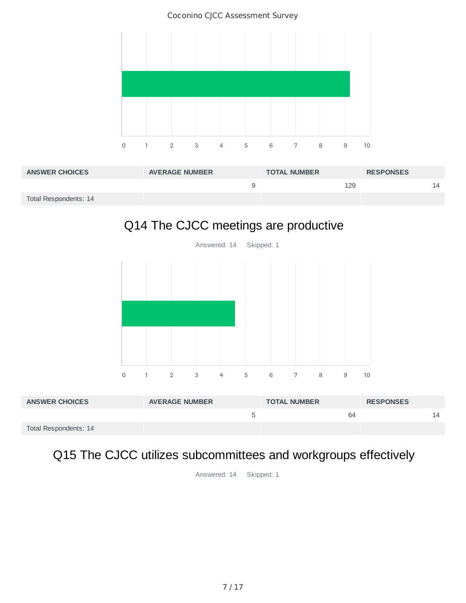Coconino CJCC Assessment Survey



| <b>ANSWER CHOICES</b> | <b>AVERAGE NUMBER</b> | <b>TOTAL NUMBER</b> | <b>RESPONSES</b> |
|-----------------------|-----------------------|---------------------|------------------|
|                       |                       | 129                 |                  |
| Total Respondents: 14 |                       |                     |                  |

## Q14 The CJCC meetings are productive



| <b>ANSWER CHOICES</b> | <b>AVERAGE NUMBER</b> | <b>TOTAL NUMBER</b> | <b>RESPONSES</b> |
|-----------------------|-----------------------|---------------------|------------------|
|                       |                       | 64                  |                  |
| Total Respondents: 14 |                       |                     |                  |

## Q15 The CJCC utilizes subcommittees and workgroups effectively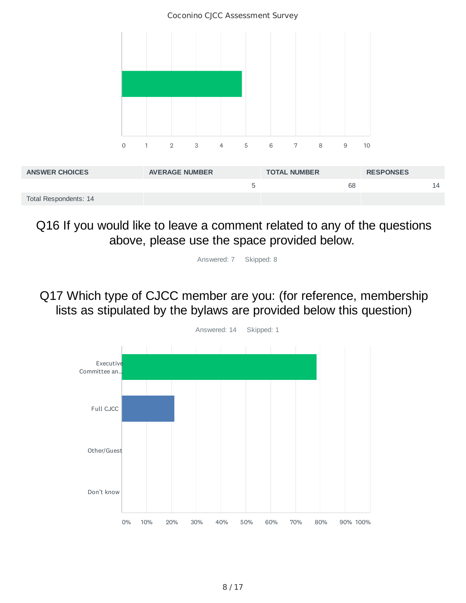Coconino CJCC Assessment Survey 0 1 2 3 4 5 6 7 8 9 10

| <b>ANSWER CHOICES</b> | <b>AVERAGE NUMBER</b> | <b>TOTAL NUMBER</b> | <b>RESPONSES</b> |  |
|-----------------------|-----------------------|---------------------|------------------|--|
|                       |                       |                     | 68               |  |
| Total Respondents: 14 |                       |                     |                  |  |

Q16 If you would like to leave a comment related to any of the questions above, please use the space provided below.

Answered: 7 Skipped: 8

Q17 Which type of CJCC member are you: (for reference, membership lists as stipulated by the bylaws are provided below this question)

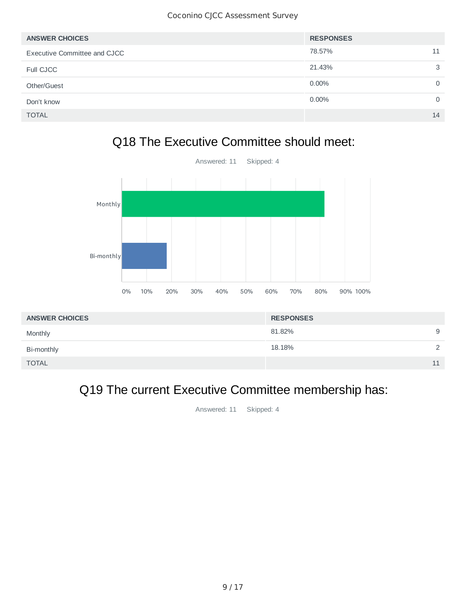| <b>ANSWER CHOICES</b>        | <b>RESPONSES</b> |          |
|------------------------------|------------------|----------|
| Executive Committee and CJCC | 78.57%           | 11       |
| Full CJCC                    | 21.43%           | 3        |
| Other/Guest                  | $0.00\%$         | $\Omega$ |
| Don't know                   | $0.00\%$         | 0        |
| <b>TOTAL</b>                 |                  | 14       |

## Q18 The Executive Committee should meet:



| <b>ANSWER CHOICES</b> | <b>RESPONSES</b> |   |
|-----------------------|------------------|---|
| Monthly               | 81.82%           | 9 |
| Bi-monthly            | 18.18%           | ◠ |
| <b>TOTAL</b>          |                  |   |

## Q19 The current Executive Committee membership has: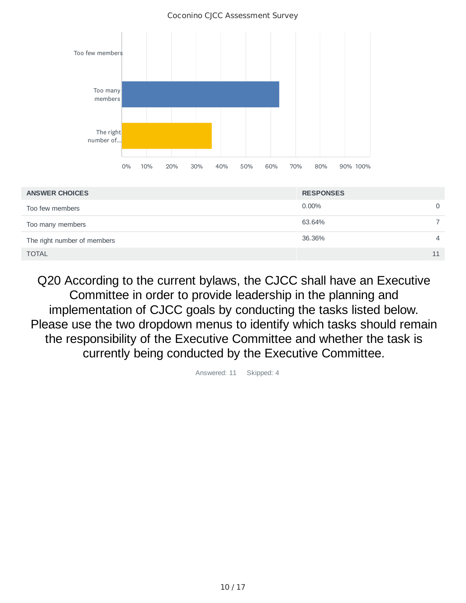

| <b>ANSWER CHOICES</b>       | <b>RESPONSES</b> |                |
|-----------------------------|------------------|----------------|
| Too few members             | $0.00\%$         | $\Omega$       |
| Too many members            | 63.64%           |                |
| The right number of members | 36.36%           | $\overline{4}$ |
| <b>TOTAL</b>                |                  | 11             |

Q20 According to the current bylaws, the CJCC shall have an Executive Committee in order to provide leadership in the planning and implementation of CJCC goals by conducting the tasks listed below. Please use the two dropdown menus to identify which tasks should remain the responsibility of the Executive Committee and whether the task is currently being conducted by the Executive Committee.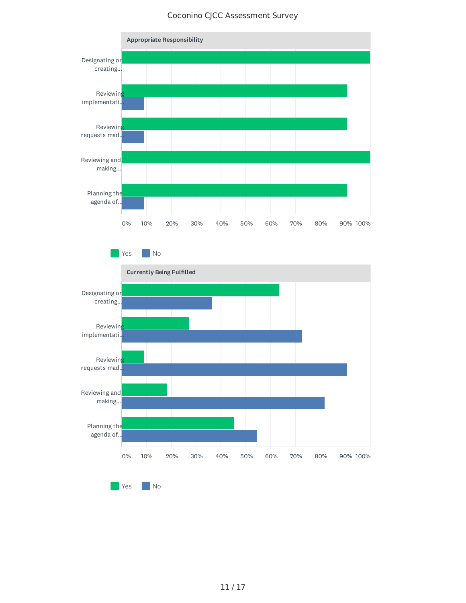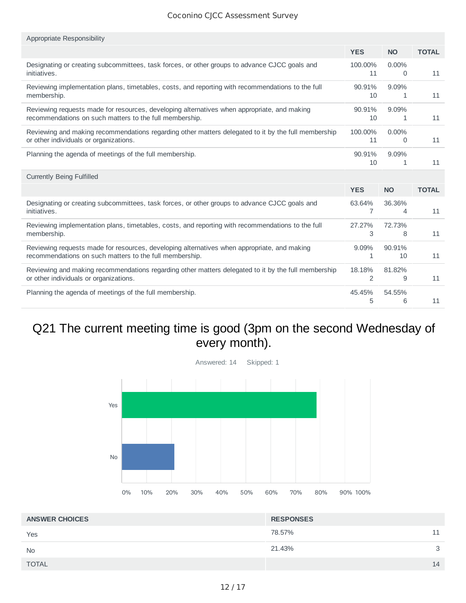| Appropriate Responsibility                                                                          |              |            |              |
|-----------------------------------------------------------------------------------------------------|--------------|------------|--------------|
|                                                                                                     | <b>YES</b>   | <b>NO</b>  | <b>TOTAL</b> |
| Designating or creating subcommittees, task forces, or other groups to advance CJCC goals and       | 100.00%      | $0.00\%$   | 11           |
| initiatives.                                                                                        | 11           | 0          |              |
| Reviewing implementation plans, timetables, costs, and reporting with recommendations to the full   | 90.91%       | 9.09%      | 11           |
| membership.                                                                                         | 10           | 1          |              |
| Reviewing requests made for resources, developing alternatives when appropriate, and making         | 90.91%       | 9.09%      | 11           |
| recommendations on such matters to the full membership.                                             | 10           | 1          |              |
| Reviewing and making recommendations regarding other matters delegated to it by the full membership | 100.00%      | $0.00\%$   | 11           |
| or other individuals or organizations.                                                              | 11           | 0          |              |
| Planning the agenda of meetings of the full membership.                                             | 90.91%<br>10 | 9.09%<br>1 | 11           |
|                                                                                                     |              |            |              |
| <b>Currently Being Fulfilled</b>                                                                    |              |            |              |
|                                                                                                     | <b>YES</b>   | <b>NO</b>  | <b>TOTAL</b> |
| Designating or creating subcommittees, task forces, or other groups to advance CJCC goals and       | 63.64%       | 36.36%     | 11           |
| initiatives.                                                                                        | 7            | 4          |              |
| Reviewing implementation plans, timetables, costs, and reporting with recommendations to the full   | 27.27%       | 72.73%     | 11           |
| membership.                                                                                         | 3            | 8          |              |
| Reviewing requests made for resources, developing alternatives when appropriate, and making         | 9.09%        | 90.91%     | 11           |
| recommendations on such matters to the full membership.                                             | 1            | 10         |              |
| Reviewing and making recommendations regarding other matters delegated to it by the full membership | 18.18%       | 81.82%     | 11           |
| or other individuals or organizations.                                                              | 2            | 9          |              |

## Q21 The current meeting time is good (3pm on the second Wednesday of every month).



| <b>ANSWER CHOICES</b> | <b>RESPONSES</b> |    |
|-----------------------|------------------|----|
| Yes                   | 78.57%           | 11 |
| <b>No</b>             | 21.43%           | 3  |
| <b>TOTAL</b>          |                  | 14 |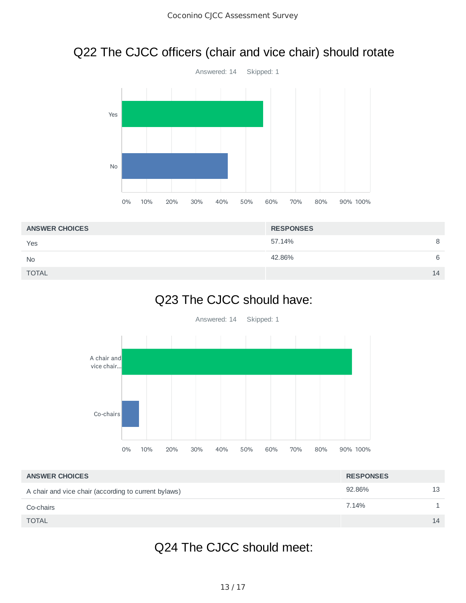## Q22 The CJCC officers (chair and vice chair) should rotate



| <b>RESPONSES</b> |    |
|------------------|----|
| 57.14%           | 8  |
| 42.86%           | 6  |
|                  | 14 |
|                  |    |

## Q23 The CJCC should have:



| <b>ANSWER CHOICES</b>                                | <b>RESPONSES</b> |    |
|------------------------------------------------------|------------------|----|
| A chair and vice chair (according to current bylaws) | 92.86%           | 13 |
| Co-chairs                                            | 7.14%            |    |
| <b>TOTAL</b>                                         |                  | 14 |

## Q24 The CJCC should meet: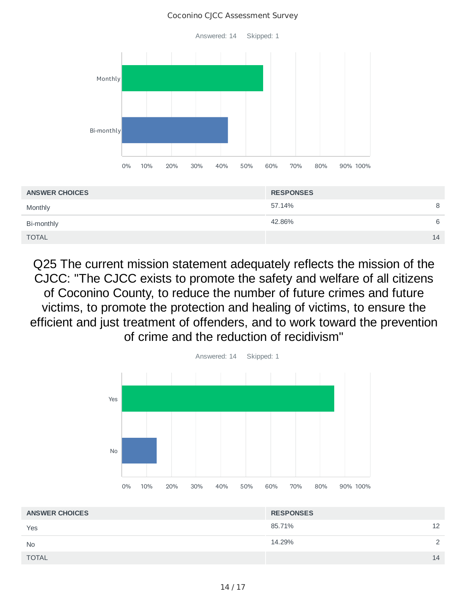

Q25 The current mission statement adequately reflects the mission of the CJCC: "The CJCC exists to promote the safety and welfare of all citizens of Coconino County, to reduce the number of future crimes and future victims, to promote the protection and healing of victims, to ensure the efficient and just treatment of offenders, and to work toward the prevention of crime and the reduction of recidivism"



| <b>ANSWER CHOICES</b> | <b>RESPONSES</b> |               |
|-----------------------|------------------|---------------|
| Yes                   | 85.71%           | 12            |
| <b>No</b>             | 14.29%           | $\mathcal{D}$ |
| <b>TOTAL</b>          |                  | 14            |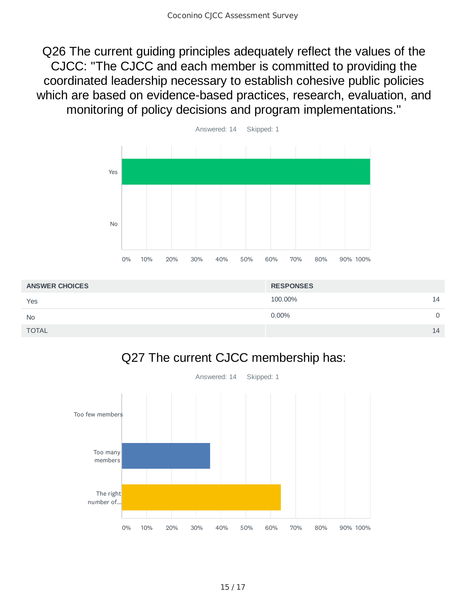Q26 The current guiding principles adequately reflect the values of the CJCC: "The CJCC and each member is committed to providing the coordinated leadership necessary to establish cohesive public policies which are based on evidence-based practices, research, evaluation, and monitoring of policy decisions and program implementations."



| <b>ANSWER CHOICES</b> | <b>RESPONSES</b> |    |
|-----------------------|------------------|----|
| Yes                   | 100.00%          | 14 |
| <b>No</b>             | $0.00\%$         | 0  |
| <b>TOTAL</b>          |                  | 14 |

## Q27 The current CJCC membership has:

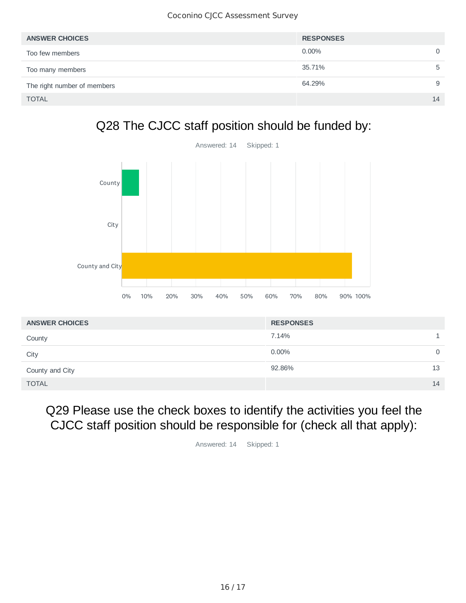| <b>ANSWER CHOICES</b>       | <b>RESPONSES</b> |    |
|-----------------------------|------------------|----|
| Too few members             | $0.00\%$         | 0  |
| Too many members            | 35.71%           | ь  |
| The right number of members | 64.29%           | 9  |
| <b>TOTAL</b>                |                  | 14 |

## Q28 The CJCC staff position should be funded by:



| <b>ANSWER CHOICES</b> | <b>RESPONSES</b> |             |
|-----------------------|------------------|-------------|
| County                | 7.14%            |             |
| City                  | $0.00\%$         | $\mathbf 0$ |
| County and City       | 92.86%<br>13     |             |
| <b>TOTAL</b>          | 14               |             |

## Q29 Please use the check boxes to identify the activities you feel the CJCC staff position should be responsible for (check all that apply):